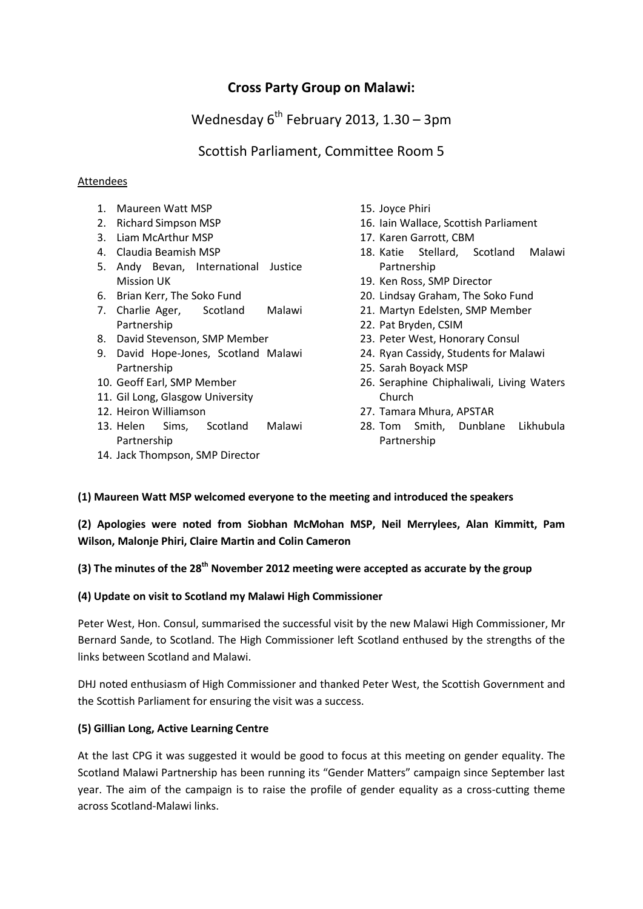# **Cross Party Group on Malawi:**

# Wednesday  $6^{th}$  February 2013, 1.30 – 3pm

# Scottish Parliament, Committee Room 5

# Attendees

- 1. Maureen Watt MSP
- 2. Richard Simpson MSP
- 3. Liam McArthur MSP
- 4. Claudia Beamish MSP
- 5. Andy Bevan, International Justice Mission UK
- 6. Brian Kerr, The Soko Fund
- 7. Charlie Ager, Scotland Malawi Partnership
- 8. David Stevenson, SMP Member
- 9. David Hope-Jones, Scotland Malawi Partnership
- 10. Geoff Earl, SMP Member
- 11. Gil Long, Glasgow University
- 12. Heiron Williamson
- 13. Helen Sims, Scotland Malawi Partnership
- 14. Jack Thompson, SMP Director
- 15. Joyce Phiri
- 16. Iain Wallace, Scottish Parliament
- 17. Karen Garrott, CBM
- 18. Katie Stellard, Scotland Malawi Partnership
- 19. Ken Ross, SMP Director
- 20. Lindsay Graham, The Soko Fund
- 21. Martyn Edelsten, SMP Member
- 22. Pat Bryden, CSIM
- 23. Peter West, Honorary Consul
- 24. Ryan Cassidy, Students for Malawi
- 25. Sarah Boyack MSP
- 26. Seraphine Chiphaliwali, Living Waters Church
- 27. Tamara Mhura, APSTAR
- 28. Tom Smith, Dunblane Likhubula Partnership

# **(1) Maureen Watt MSP welcomed everyone to the meeting and introduced the speakers**

**(2) Apologies were noted from Siobhan McMohan MSP, Neil Merrylees, Alan Kimmitt, Pam Wilson, Malonje Phiri, Claire Martin and Colin Cameron**

# **(3) The minutes of the 28th November 2012 meeting were accepted as accurate by the group**

#### **(4) Update on visit to Scotland my Malawi High Commissioner**

Peter West, Hon. Consul, summarised the successful visit by the new Malawi High Commissioner, Mr Bernard Sande, to Scotland. The High Commissioner left Scotland enthused by the strengths of the links between Scotland and Malawi.

DHJ noted enthusiasm of High Commissioner and thanked Peter West, the Scottish Government and the Scottish Parliament for ensuring the visit was a success.

# **(5) Gillian Long, Active Learning Centre**

At the last CPG it was suggested it would be good to focus at this meeting on gender equality. The Scotland Malawi Partnership has been running its "Gender Matters" campaign since September last year. The aim of the campaign is to raise the profile of gender equality as a cross-cutting theme across Scotland-Malawi links.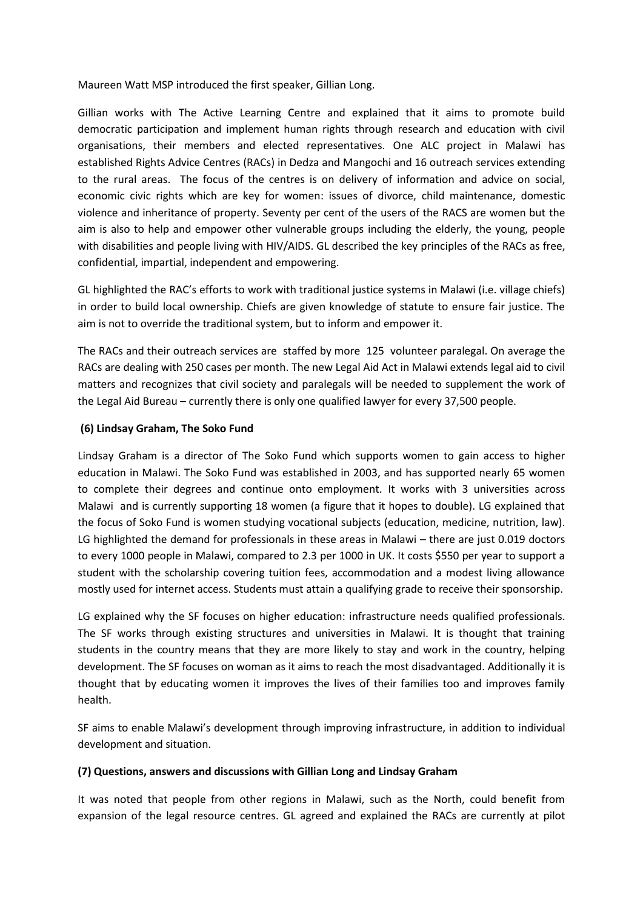Maureen Watt MSP introduced the first speaker, Gillian Long.

Gillian works with The Active Learning Centre and explained that it aims to promote build democratic participation and implement human rights through research and education with civil organisations, their members and elected representatives. One ALC project in Malawi has established Rights Advice Centres (RACs) in Dedza and Mangochi and 16 outreach services extending to the rural areas. The focus of the centres is on delivery of information and advice on social, economic civic rights which are key for women: issues of divorce, child maintenance, domestic violence and inheritance of property. Seventy per cent of the users of the RACS are women but the aim is also to help and empower other vulnerable groups including the elderly, the young, people with disabilities and people living with HIV/AIDS. GL described the key principles of the RACs as free, confidential, impartial, independent and empowering.

GL highlighted the RAC's efforts to work with traditional justice systems in Malawi (i.e. village chiefs) in order to build local ownership. Chiefs are given knowledge of statute to ensure fair justice. The aim is not to override the traditional system, but to inform and empower it.

The RACs and their outreach services are staffed by more 125 volunteer paralegal. On average the RACs are dealing with 250 cases per month. The new Legal Aid Act in Malawi extends legal aid to civil matters and recognizes that civil society and paralegals will be needed to supplement the work of the Legal Aid Bureau – currently there is only one qualified lawyer for every 37,500 people.

#### **(6) Lindsay Graham, The Soko Fund**

Lindsay Graham is a director of The Soko Fund which supports women to gain access to higher education in Malawi. The Soko Fund was established in 2003, and has supported nearly 65 women to complete their degrees and continue onto employment. It works with 3 universities across Malawi and is currently supporting 18 women (a figure that it hopes to double). LG explained that the focus of Soko Fund is women studying vocational subjects (education, medicine, nutrition, law). LG highlighted the demand for professionals in these areas in Malawi – there are just 0.019 doctors to every 1000 people in Malawi, compared to 2.3 per 1000 in UK. It costs \$550 per year to support a student with the scholarship covering tuition fees, accommodation and a modest living allowance mostly used for internet access. Students must attain a qualifying grade to receive their sponsorship.

LG explained why the SF focuses on higher education: infrastructure needs qualified professionals. The SF works through existing structures and universities in Malawi. It is thought that training students in the country means that they are more likely to stay and work in the country, helping development. The SF focuses on woman as it aims to reach the most disadvantaged. Additionally it is thought that by educating women it improves the lives of their families too and improves family health.

SF aims to enable Malawi's development through improving infrastructure, in addition to individual development and situation.

#### **(7) Questions, answers and discussions with Gillian Long and Lindsay Graham**

It was noted that people from other regions in Malawi, such as the North, could benefit from expansion of the legal resource centres. GL agreed and explained the RACs are currently at pilot